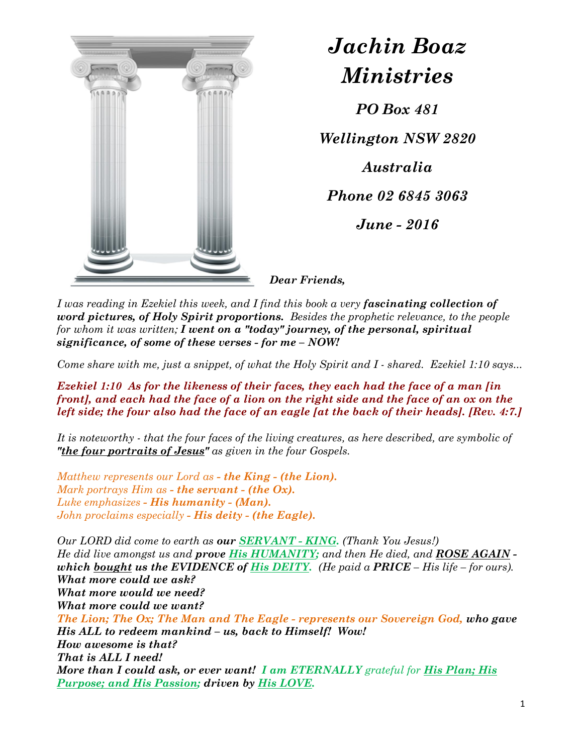

## *Jachin Boaz Ministries*

*PO Box 481*

*Wellington NSW 2820 Australia Phone 02 6845 3063*

*June - 2016*

*Dear Friends,*

*I was reading in Ezekiel this week, and I find this book a very fascinating collection of word pictures, of Holy Spirit proportions. Besides the prophetic relevance, to the people for whom it was written; I went on a "today" journey, of the personal, spiritual significance, of some of these verses - for me – NOW!* 

*Come share with me, just a snippet, of what the Holy Spirit and I - shared. Ezekiel 1:10 says...*

*Ezekiel 1:10 As for the likeness of their faces, they each had the face of a man [in front], and each had the face of a lion on the right side and the face of an ox on the left side; the four also had the face of an eagle [at the back of their heads]. [Rev. 4:7.]* 

*It is noteworthy - that the four faces of the living creatures, as here described, are symbolic of "the four portraits of Jesus" as given in the four Gospels.* 

*Matthew represents our Lord as - the King - (the Lion). Mark portrays Him as - the servant - (the Ox). Luke emphasizes - His humanity - (Man). John proclaims especially - His deity - (the Eagle).*

*Our LORD did come to earth as our SERVANT - KING. (Thank You Jesus!) He did live amongst us and prove His HUMANITY; and then He died, and ROSE AGAIN which bought us the EVIDENCE of His DEITY. (He paid a PRICE – His life – for ours). What more could we ask? What more would we need? What more could we want? The Lion; The Ox; The Man and The Eagle - represents our Sovereign God, who gave His ALL to redeem mankind – us, back to Himself! Wow! How awesome is that?*

*That is ALL I need!* 

*More than I could ask, or ever want! I am ETERNALLY grateful for His Plan; His Purpose; and His Passion; driven by His LOVE.*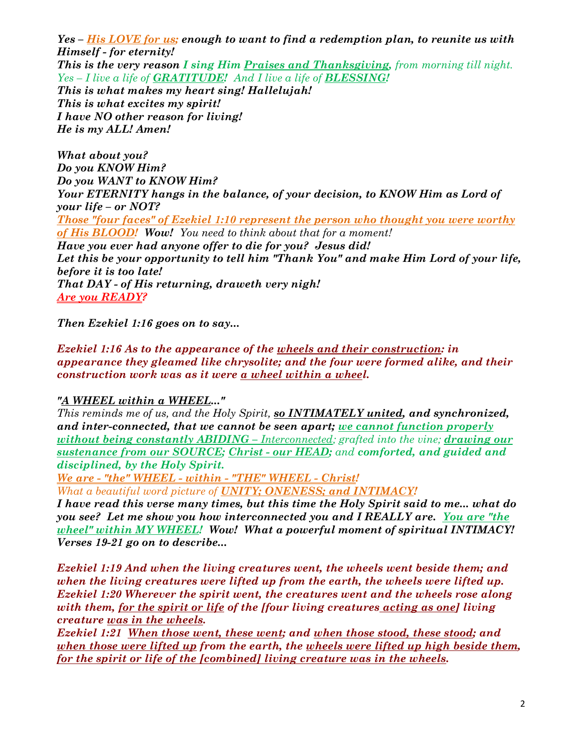*Yes – His LOVE for us; enough to want to find a redemption plan, to reunite us with Himself - for eternity! This is the very reason I sing Him Praises and Thanksgiving, from morning till night. Yes – I live a life of GRATITUDE! And I live a life of BLESSING! This is what makes my heart sing! Hallelujah! This is what excites my spirit! I have NO other reason for living! He is my ALL! Amen!*

*What about you? Do you KNOW Him? Do you WANT to KNOW Him? Your ETERNITY hangs in the balance, of your decision, to KNOW Him as Lord of your life – or NOT? Those "four faces" of Ezekiel 1:10 represent the person who thought you were worthy of His BLOOD! Wow! You need to think about that for a moment! Have you ever had anyone offer to die for you? Jesus did! Let this be your opportunity to tell him "Thank You" and make Him Lord of your life, before it is too late! That DAY - of His returning, draweth very nigh! Are you READY?*

*Then Ezekiel 1:16 goes on to say...*

*Ezekiel 1:16 As to the appearance of the wheels and their construction: in appearance they gleamed like chrysolite; and the four were formed alike, and their construction work was as it were a wheel within a wheel.*

## *"A WHEEL within a WHEEL..."*

*This reminds me of us, and the Holy Spirit, so INTIMATELY united, and synchronized, and inter-connected, that we cannot be seen apart; we cannot function properly without being constantly ABIDING – Interconnected; grafted into the vine; drawing our sustenance from our SOURCE; Christ - our HEAD; and comforted, and guided and disciplined, by the Holy Spirit.* 

*We are - "the" WHEEL - within - "THE" WHEEL - Christ!* 

*What a beautiful word picture of UNITY; ONENESS; and INTIMACY!*

*I have read this verse many times, but this time the Holy Spirit said to me... what do you see? Let me show you how interconnected you and I REALLY are. You are "the wheel" within MY WHEEL! Wow! What a powerful moment of spiritual INTIMACY! Verses 19-21 go on to describe...* 

*Ezekiel 1:19 And when the living creatures went, the wheels went beside them; and when the living creatures were lifted up from the earth, the wheels were lifted up. Ezekiel 1:20 Wherever the spirit went, the creatures went and the wheels rose along with them, for the spirit or life of the [four living creatures acting as one] living creature was in the wheels.* 

*Ezekiel 1:21 When those went, these went; and when those stood, these stood; and when those were lifted up from the earth, the wheels were lifted up high beside them, for the spirit or life of the [combined] living creature was in the wheels.*